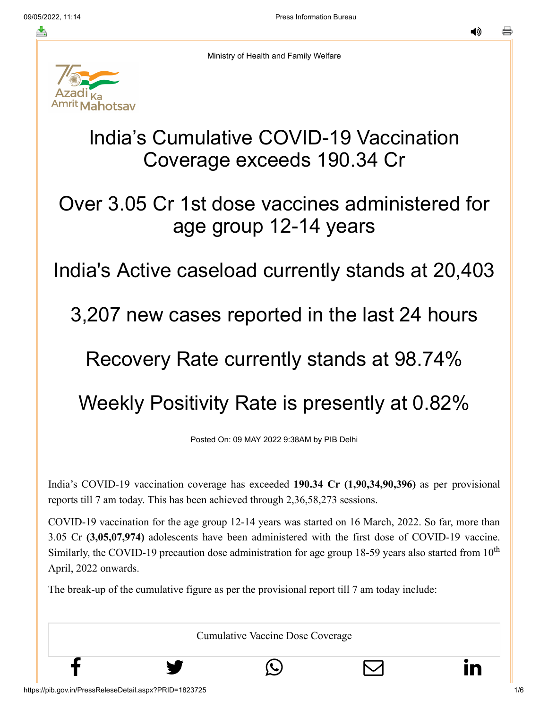≛

◀»



Ministry of Health and Family Welfare

## India's Cumulative COVID-19 Vaccination Coverage exceeds 190.34 Cr

## Over 3.05 Cr 1st dose vaccines administered for age group 12-14 years

### India's Active caseload currently stands at 20,403

#### 3,207 new cases reported in the last 24 hours

## Recovery Rate currently stands at 98.74%

# Weekly Positivity Rate is presently at 0.82%

Posted On: 09 MAY 2022 9:38AM by PIB Delhi

India's COVID-19 vaccination coverage has exceeded **190.34 Cr (1,90,34,90,396)** as per provisional reports till 7 am today. This has been achieved through 2,36,58,273 sessions.

COVID-19 vaccination for the age group 12-14 years was started on 16 March, 2022. So far, more than 3.05 Cr **(3,05,07,974)** adolescents have been administered with the first dose of COVID-19 vaccine. Similarly, the COVID-19 precaution dose administration for age group 18-59 years also started from  $10<sup>th</sup>$ April, 2022 onwards.

The break-up of the cumulative figure as per the provisional report till 7 am today include:

Cumulative Vaccine Dose Coverage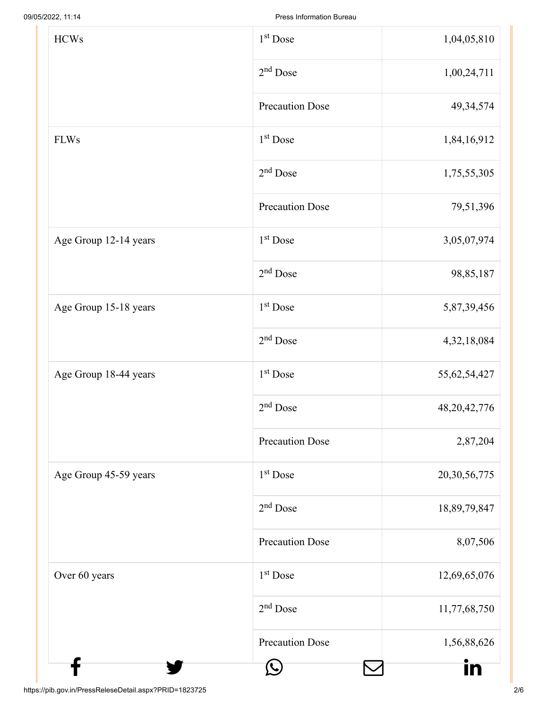| <b>HCWs</b>           | $1st$ Dose             | 1,04,05,810     |
|-----------------------|------------------------|-----------------|
|                       | $2nd$ Dose             | 1,00,24,711     |
|                       | <b>Precaution Dose</b> | 49, 34, 574     |
| <b>FLWs</b>           | 1 <sup>st</sup> Dose   | 1,84,16,912     |
|                       | $2nd$ Dose             | 1,75,55,305     |
|                       | <b>Precaution Dose</b> | 79,51,396       |
| Age Group 12-14 years | 1 <sup>st</sup> Dose   | 3,05,07,974     |
|                       | $2nd$ Dose             | 98,85,187       |
| Age Group 15-18 years | 1 <sup>st</sup> Dose   | 5,87,39,456     |
|                       | $2nd$ Dose             | 4,32,18,084     |
| Age Group 18-44 years | $1st$ Dose             | 55, 62, 54, 427 |
|                       | 2 <sup>nd</sup> Dose   | 48, 20, 42, 776 |
|                       | <b>Precaution Dose</b> | 2,87,204        |
| Age Group 45-59 years | 1 <sup>st</sup> Dose   | 20,30,56,775    |
|                       | $2nd$ Dose             | 18,89,79,847    |
|                       | <b>Precaution Dose</b> | 8,07,506        |
| Over 60 years         | $1st$ Dose             | 12,69,65,076    |
|                       | $2nd$ Dose             | 11,77,68,750    |
|                       | <b>Precaution Dose</b> | 1,56,88,626     |
|                       | $\mathcal{L}$          | IN              |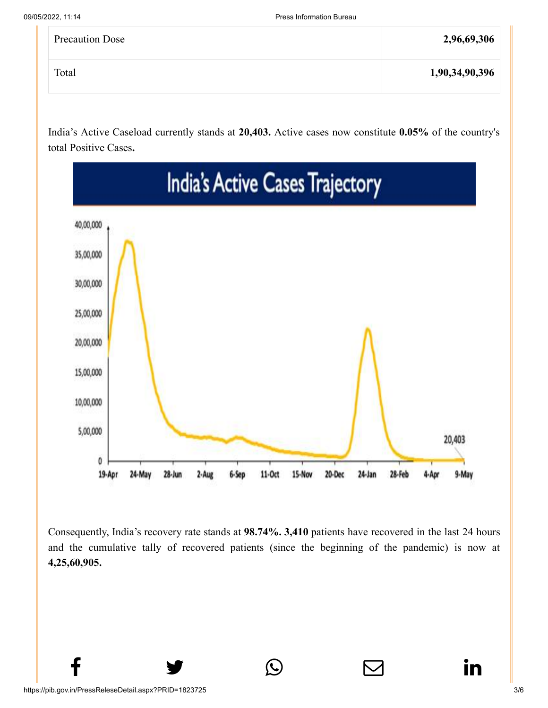| <b>Precaution Dose</b> | 2,96,69,306    |
|------------------------|----------------|
| Total                  | 1,90,34,90,396 |

India's Active Caseload currently stands at **20,403.** Active cases now constitute **0.05%** of the country's total Positive Cases**.**



Consequently, India's recovery rate stands at **98.74%. 3,410** patients have recovered in the last 24 hours and the cumulative tally of recovered patients (since the beginning of the pandemic) is now at **4,25,60,905.**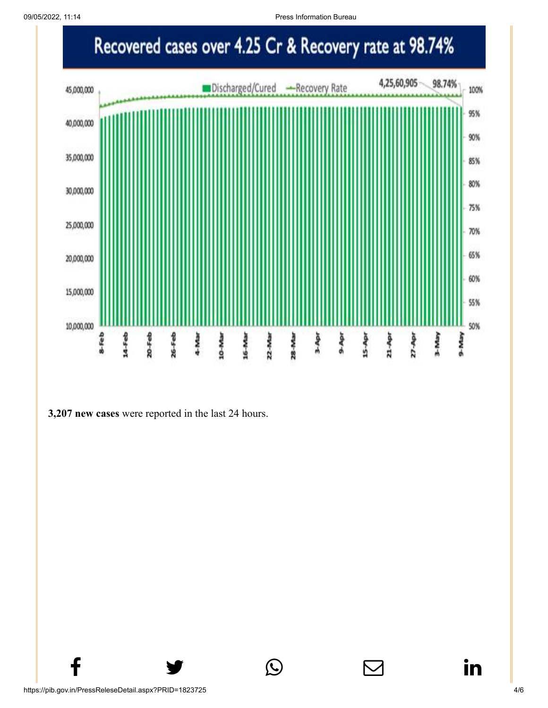09/05/2022, 11:14 Press Information Bureau



 $f$  y  $\circledcirc$   $\quad \circ$  in

#### **3,207 new cases** were reported in the last 24 hours.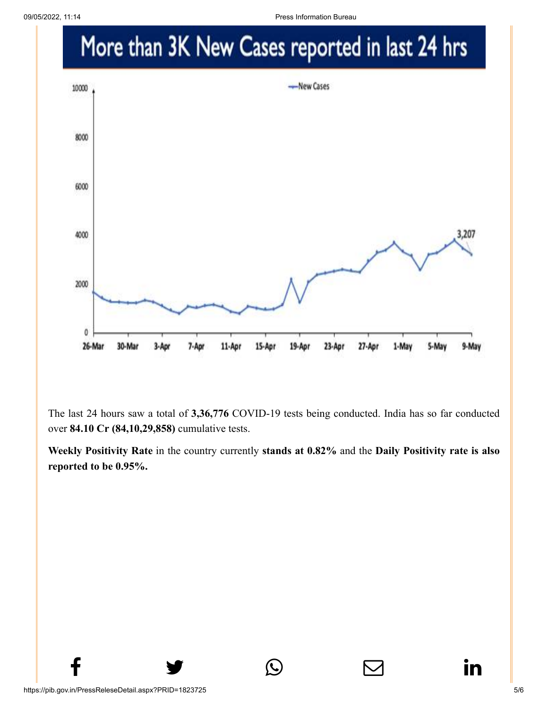

The last 24 hours saw a total of **3,36,776** COVID-19 tests being conducted. India has so far conducted over **84.10 Cr (84,10,29,858)** cumulative tests.

**Weekly Positivity Rate** in the country currently **stands at 0.82%** and the **Daily Positivity rate is also reported to be 0.95%.**